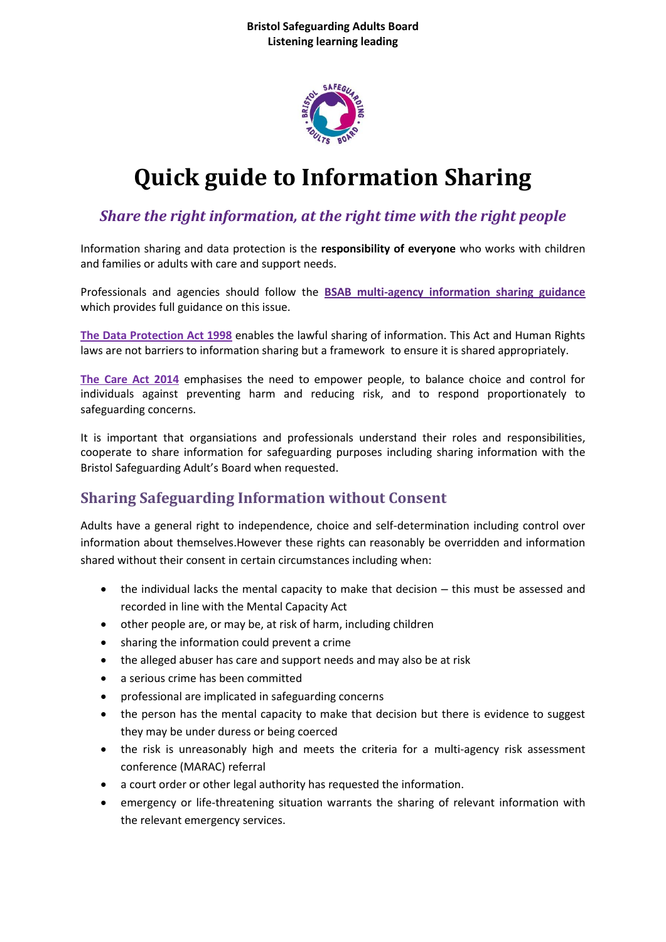

# **Quick guide to Information Sharing**

### *Share the right information, at the right time with the right people*

Information sharing and data protection is the **responsibility of everyone** who works with children and families or adults with care and support needs.

Professionals and agencies should follow the **[BSAB multi-agency information sharing guidance](https://www.bristol.gov.uk/documents/20182/354651/BSAB+Information+sharing+policy/18a8a694-117e-4046-888b-3b5ca8a3467b)** which provides full guidance on this issue.

**The [Data Protection Act 1998](http://www.legislation.gov.uk/ukpga/1998/29/contents)** enables the lawful sharing of information. This Act and Human Rights laws are not barriers to information sharing but a framework to ensure it is shared appropriately.

**[The Care Act 2014](http://www.legislation.gov.uk/ukpga/2014/23/contents/enacted)** emphasises the need to empower people, to balance choice and control for individuals against preventing harm and reducing risk, and to respond proportionately to safeguarding concerns.

It is important that organsiations and professionals understand their roles and responsibilities, cooperate to share information for safeguarding purposes including sharing information with the Bristol Safeguarding Adult's Board when requested.

### **Sharing Safeguarding Information without Consent**

Adults have a general right to independence, choice and self-determination including control over information about themselves.However these rights can reasonably be overridden and information shared without their consent in certain circumstances including when:

- the individual lacks the mental capacity to make that decision this must be assessed and recorded in line with the Mental Capacity Act
- other people are, or may be, at risk of harm, including children
- sharing the information could prevent a crime
- the alleged abuser has care and support needs and may also be at risk
- a serious crime has been committed
- professional are implicated in safeguarding concerns
- the person has the mental capacity to make that decision but there is evidence to suggest they may be under duress or being coerced
- the risk is unreasonably high and meets the criteria for a multi-agency risk assessment conference (MARAC) referral
- a court order or other legal authority has requested the information.
- emergency or life-threatening situation warrants the sharing of relevant information with the relevant emergency services.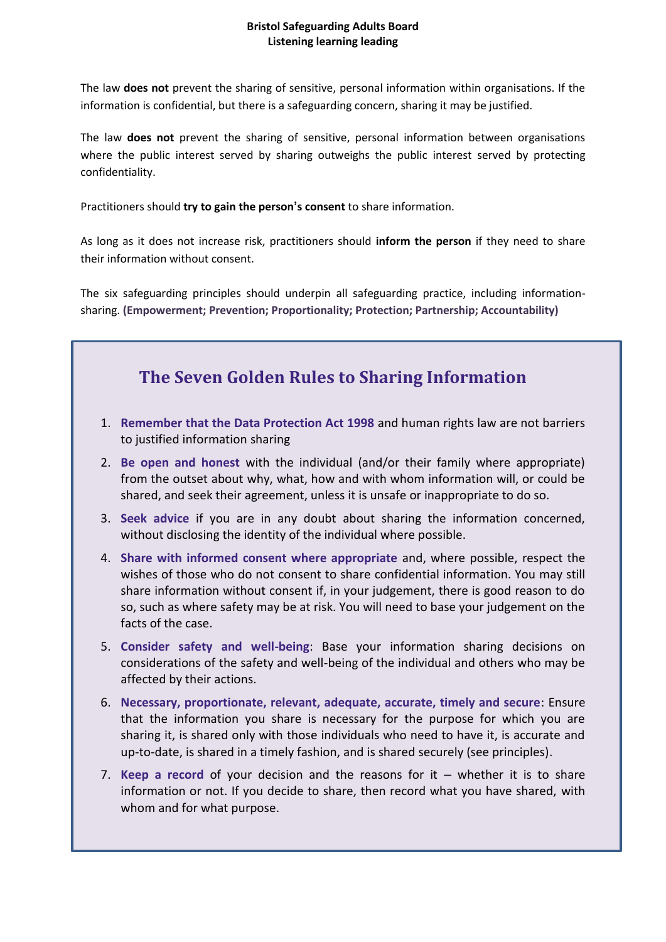#### **Bristol Safeguarding Adults Board Listening learning leading**

The law **does not** prevent the sharing of sensitive, personal information within organisations. If the information is confidential, but there is a safeguarding concern, sharing it may be justified.

The law **does not** prevent the sharing of sensitive, personal information between organisations where the public interest served by sharing outweighs the public interest served by protecting confidentiality.

Practitioners should **try to gain the person's consent** to share information.

As long as it does not increase risk, practitioners should **inform the person** if they need to share their information without consent.

The six safeguarding principles should underpin all safeguarding practice, including informationsharing. **(Empowerment; Prevention; Proportionality; Protection; Partnership; Accountability)**

## **The Seven Golden Rules to Sharing Information**

- 1. **Remember that the Data Protection Act 1998** and human rights law are not barriers to justified information sharing
- 2. **Be open and honest** with the individual (and/or their family where appropriate) from the outset about why, what, how and with whom information will, or could be shared, and seek their agreement, unless it is unsafe or inappropriate to do so.
- 3. **Seek advice** if you are in any doubt about sharing the information concerned, without disclosing the identity of the individual where possible.
- 4. **Share with informed consent where appropriate** and, where possible, respect the wishes of those who do not consent to share confidential information. You may still share information without consent if, in your judgement, there is good reason to do so, such as where safety may be at risk. You will need to base your judgement on the facts of the case.
- 5. **Consider safety and well-being**: Base your information sharing decisions on considerations of the safety and well-being of the individual and others who may be affected by their actions.
- 6. **Necessary, proportionate, relevant, adequate, accurate, timely and secure**: Ensure that the information you share is necessary for the purpose for which you are sharing it, is shared only with those individuals who need to have it, is accurate and up-to-date, is shared in a timely fashion, and is shared securely (see principles).
- 7. **Keep a record** of your decision and the reasons for it whether it is to share information or not. If you decide to share, then record what you have shared, with whom and for what purpose.